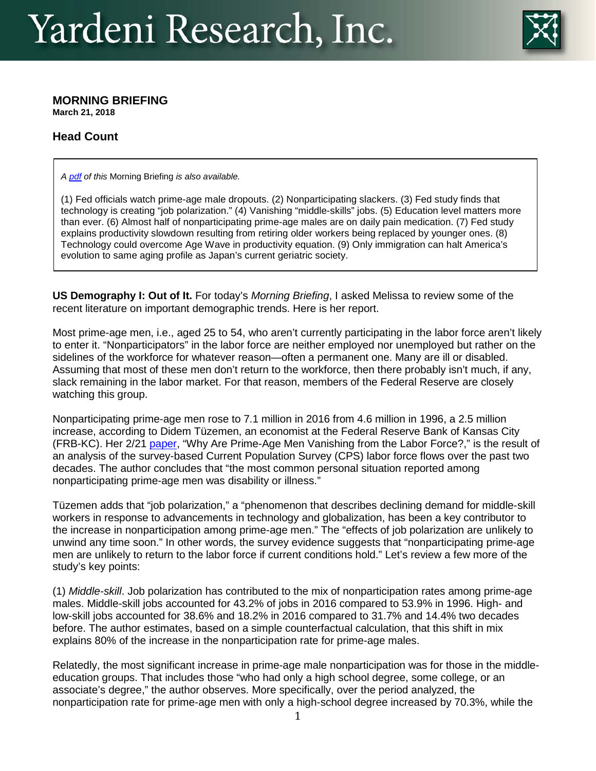

## **MORNING BRIEFING**

**March 21, 2018**

## **Head Count**

*A [pdf](http://www.yardeni.com/premiumdata/mb_180321.pdf) of this* Morning Briefing *is also available.* 

(1) Fed officials watch prime-age male dropouts. (2) Nonparticipating slackers. (3) Fed study finds that technology is creating "job polarization." (4) Vanishing "middle-skills" jobs. (5) Education level matters more than ever. (6) Almost half of nonparticipating prime-age males are on daily pain medication. (7) Fed study explains productivity slowdown resulting from retiring older workers being replaced by younger ones. (8) Technology could overcome Age Wave in productivity equation. (9) Only immigration can halt America's evolution to same aging profile as Japan's current geriatric society.

**US Demography I: Out of It.** For today's *Morning Briefing*, I asked Melissa to review some of the recent literature on important demographic trends. Here is her report.

Most prime-age men, i.e., aged 25 to 54, who aren't currently participating in the labor force aren't likely to enter it. "Nonparticipators" in the labor force are neither employed nor unemployed but rather on the sidelines of the workforce for whatever reason—often a permanent one. Many are ill or disabled. Assuming that most of these men don't return to the workforce, then there probably isn't much, if any, slack remaining in the labor market. For that reason, members of the Federal Reserve are closely watching this group.

Nonparticipating prime-age men rose to 7.1 million in 2016 from 4.6 million in 1996, a 2.5 million increase, according to Didem Tüzemen, an economist at the Federal Reserve Bank of Kansas City (FRB-KC). Her 2/21 [paper,](https://www.kansascityfed.org/~/media/files/publicat/econrev/econrevarchive/2018/1q18tuzemen.pdf) "Why Are Prime-Age Men Vanishing from the Labor Force?," is the result of an analysis of the survey-based Current Population Survey (CPS) labor force flows over the past two decades. The author concludes that "the most common personal situation reported among nonparticipating prime-age men was disability or illness."

Tüzemen adds that "job polarization," a "phenomenon that describes declining demand for middle-skill workers in response to advancements in technology and globalization, has been a key contributor to the increase in nonparticipation among prime-age men." The "effects of job polarization are unlikely to unwind any time soon." In other words, the survey evidence suggests that "nonparticipating prime-age men are unlikely to return to the labor force if current conditions hold." Let's review a few more of the study's key points:

(1) *Middle-skill*. Job polarization has contributed to the mix of nonparticipation rates among prime-age males. Middle-skill jobs accounted for 43.2% of jobs in 2016 compared to 53.9% in 1996. High- and low-skill jobs accounted for 38.6% and 18.2% in 2016 compared to 31.7% and 14.4% two decades before. The author estimates, based on a simple counterfactual calculation, that this shift in mix explains 80% of the increase in the nonparticipation rate for prime-age males.

Relatedly, the most significant increase in prime-age male nonparticipation was for those in the middleeducation groups. That includes those "who had only a high school degree, some college, or an associate's degree," the author observes. More specifically, over the period analyzed, the nonparticipation rate for prime-age men with only a high-school degree increased by 70.3%, while the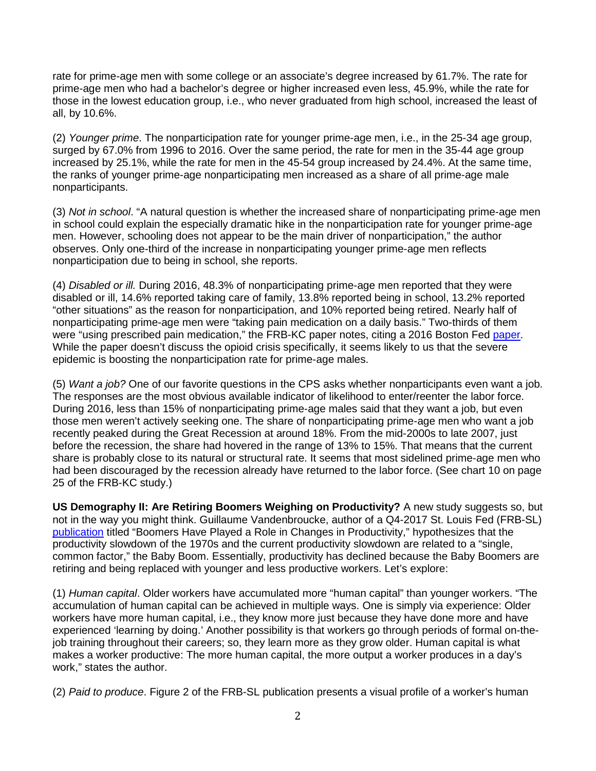rate for prime-age men with some college or an associate's degree increased by 61.7%. The rate for prime-age men who had a bachelor's degree or higher increased even less, 45.9%, while the rate for those in the lowest education group, i.e., who never graduated from high school, increased the least of all, by 10.6%.

(2) *Younger prime*. The nonparticipation rate for younger prime-age men, i.e., in the 25-34 age group, surged by 67.0% from 1996 to 2016. Over the same period, the rate for men in the 35-44 age group increased by 25.1%, while the rate for men in the 45-54 group increased by 24.4%. At the same time, the ranks of younger prime-age nonparticipating men increased as a share of all prime-age male nonparticipants.

(3) *Not in school*. "A natural question is whether the increased share of nonparticipating prime-age men in school could explain the especially dramatic hike in the nonparticipation rate for younger prime-age men. However, schooling does not appear to be the main driver of nonparticipation," the author observes. Only one-third of the increase in nonparticipating younger prime-age men reflects nonparticipation due to being in school, she reports.

(4) *Disabled or ill.* During 2016, 48.3% of nonparticipating prime-age men reported that they were disabled or ill, 14.6% reported taking care of family, 13.8% reported being in school, 13.2% reported "other situations" as the reason for nonparticipation, and 10% reported being retired. Nearly half of nonparticipating prime-age men were "taking pain medication on a daily basis." Two-thirds of them were "using prescribed pain medication," the FRB-KC paper notes, citing a 2016 Boston Fed [paper.](https://www.bostonfed.org/-/media/Documents/economic/conf/great-recovery-2016/Alan-B-Krueger.pdf) While the paper doesn't discuss the opioid crisis specifically, it seems likely to us that the severe epidemic is boosting the nonparticipation rate for prime-age males.

(5) *Want a job?* One of our favorite questions in the CPS asks whether nonparticipants even want a job. The responses are the most obvious available indicator of likelihood to enter/reenter the labor force. During 2016, less than 15% of nonparticipating prime-age males said that they want a job, but even those men weren't actively seeking one. The share of nonparticipating prime-age men who want a job recently peaked during the Great Recession at around 18%. From the mid-2000s to late 2007, just before the recession, the share had hovered in the range of 13% to 15%. That means that the current share is probably close to its natural or structural rate. It seems that most sidelined prime-age men who had been discouraged by the recession already have returned to the labor force. (See chart 10 on page 25 of the FRB-KC study.)

**US Demography II: Are Retiring Boomers Weighing on Productivity?** A new study suggests so, but not in the way you might think. Guillaume Vandenbroucke, author of a Q4-2017 St. Louis Fed (FRB-SL) [publication](https://www.stlouisfed.org/~/media/Publications/Regional-Economist/2017/Fourth_quarter_2017/Boomers.pdf) titled "Boomers Have Played a Role in Changes in Productivity," hypothesizes that the productivity slowdown of the 1970s and the current productivity slowdown are related to a "single, common factor," the Baby Boom. Essentially, productivity has declined because the Baby Boomers are retiring and being replaced with younger and less productive workers. Let's explore:

(1) *Human capital*. Older workers have accumulated more "human capital" than younger workers. "The accumulation of human capital can be achieved in multiple ways. One is simply via experience: Older workers have more human capital, i.e., they know more just because they have done more and have experienced 'learning by doing.' Another possibility is that workers go through periods of formal on-thejob training throughout their careers; so, they learn more as they grow older. Human capital is what makes a worker productive: The more human capital, the more output a worker produces in a day's work," states the author.

(2) *Paid to produce*. Figure 2 of the FRB-SL publication presents a visual profile of a worker's human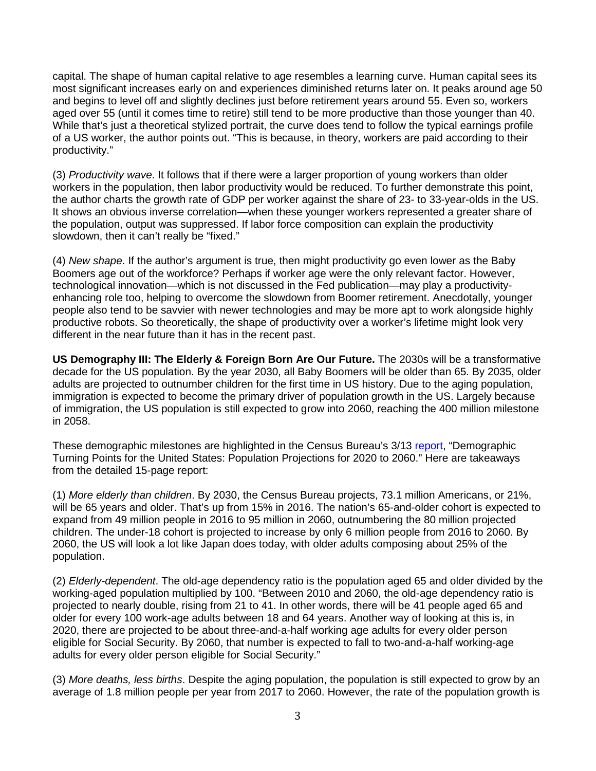capital. The shape of human capital relative to age resembles a learning curve. Human capital sees its most significant increases early on and experiences diminished returns later on. It peaks around age 50 and begins to level off and slightly declines just before retirement years around 55. Even so, workers aged over 55 (until it comes time to retire) still tend to be more productive than those younger than 40. While that's just a theoretical stylized portrait, the curve does tend to follow the typical earnings profile of a US worker, the author points out. "This is because, in theory, workers are paid according to their productivity."

(3) *Productivity wave*. It follows that if there were a larger proportion of young workers than older workers in the population, then labor productivity would be reduced. To further demonstrate this point, the author charts the growth rate of GDP per worker against the share of 23- to 33-year-olds in the US. It shows an obvious inverse correlation—when these younger workers represented a greater share of the population, output was suppressed. If labor force composition can explain the productivity slowdown, then it can't really be "fixed."

(4) *New shape*. If the author's argument is true, then might productivity go even lower as the Baby Boomers age out of the workforce? Perhaps if worker age were the only relevant factor. However, technological innovation—which is not discussed in the Fed publication—may play a productivityenhancing role too, helping to overcome the slowdown from Boomer retirement. Anecdotally, younger people also tend to be savvier with newer technologies and may be more apt to work alongside highly productive robots. So theoretically, the shape of productivity over a worker's lifetime might look very different in the near future than it has in the recent past.

**US Demography III: The Elderly & Foreign Born Are Our Future.** The 2030s will be a transformative decade for the US population. By the year 2030, all Baby Boomers will be older than 65. By 2035, older adults are projected to outnumber children for the first time in US history. Due to the aging population, immigration is expected to become the primary driver of population growth in the US. Largely because of immigration, the US population is still expected to grow into 2060, reaching the 400 million milestone in 2058.

These demographic milestones are highlighted in the Census Bureau's 3/13 [report,](https://www.census.gov/content/dam/Census/library/publications/2018/demo/P25_1144.pdf) "Demographic Turning Points for the United States: Population Projections for 2020 to 2060." Here are takeaways from the detailed 15-page report:

(1) *More elderly than children*. By 2030, the Census Bureau projects, 73.1 million Americans, or 21%, will be 65 years and older. That's up from 15% in 2016. The nation's 65-and-older cohort is expected to expand from 49 million people in 2016 to 95 million in 2060, outnumbering the 80 million projected children. The under-18 cohort is projected to increase by only 6 million people from 2016 to 2060. By 2060, the US will look a lot like Japan does today, with older adults composing about 25% of the population.

(2) *Elderly-dependent*. The old-age dependency ratio is the population aged 65 and older divided by the working-aged population multiplied by 100. "Between 2010 and 2060, the old-age dependency ratio is projected to nearly double, rising from 21 to 41. In other words, there will be 41 people aged 65 and older for every 100 work-age adults between 18 and 64 years. Another way of looking at this is, in 2020, there are projected to be about three-and-a-half working age adults for every older person eligible for Social Security. By 2060, that number is expected to fall to two-and-a-half working-age adults for every older person eligible for Social Security."

(3) *More deaths, less births*. Despite the aging population, the population is still expected to grow by an average of 1.8 million people per year from 2017 to 2060. However, the rate of the population growth is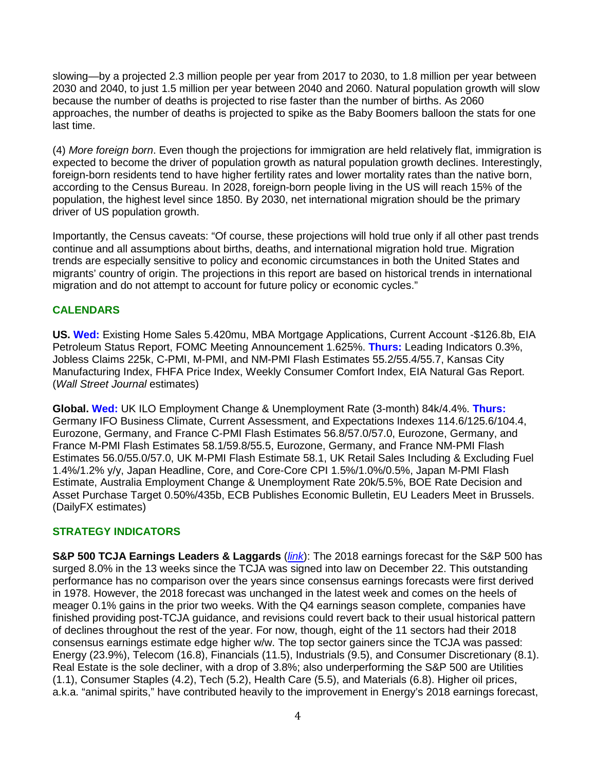slowing—by a projected 2.3 million people per year from 2017 to 2030, to 1.8 million per year between 2030 and 2040, to just 1.5 million per year between 2040 and 2060. Natural population growth will slow because the number of deaths is projected to rise faster than the number of births. As 2060 approaches, the number of deaths is projected to spike as the Baby Boomers balloon the stats for one last time.

(4) *More foreign born*. Even though the projections for immigration are held relatively flat, immigration is expected to become the driver of population growth as natural population growth declines. Interestingly, foreign-born residents tend to have higher fertility rates and lower mortality rates than the native born, according to the Census Bureau. In 2028, foreign-born people living in the US will reach 15% of the population, the highest level since 1850. By 2030, net international migration should be the primary driver of US population growth.

Importantly, the Census caveats: "Of course, these projections will hold true only if all other past trends continue and all assumptions about births, deaths, and international migration hold true. Migration trends are especially sensitive to policy and economic circumstances in both the United States and migrants' country of origin. The projections in this report are based on historical trends in international migration and do not attempt to account for future policy or economic cycles."

## **CALENDARS**

**US. Wed:** Existing Home Sales 5.420mu, MBA Mortgage Applications, Current Account -\$126.8b, EIA Petroleum Status Report, FOMC Meeting Announcement 1.625%. **Thurs:** Leading Indicators 0.3%, Jobless Claims 225k, C-PMI, M-PMI, and NM-PMI Flash Estimates 55.2/55.4/55.7, Kansas City Manufacturing Index, FHFA Price Index, Weekly Consumer Comfort Index, EIA Natural Gas Report. (*Wall Street Journal* estimates)

**Global. Wed:** UK ILO Employment Change & Unemployment Rate (3-month) 84k/4.4%. **Thurs:** Germany IFO Business Climate, Current Assessment, and Expectations Indexes 114.6/125.6/104.4, Eurozone, Germany, and France C-PMI Flash Estimates 56.8/57.0/57.0, Eurozone, Germany, and France M-PMI Flash Estimates 58.1/59.8/55.5, Eurozone, Germany, and France NM-PMI Flash Estimates 56.0/55.0/57.0, UK M-PMI Flash Estimate 58.1, UK Retail Sales Including & Excluding Fuel 1.4%/1.2% y/y, Japan Headline, Core, and Core-Core CPI 1.5%/1.0%/0.5%, Japan M-PMI Flash Estimate, Australia Employment Change & Unemployment Rate 20k/5.5%, BOE Rate Decision and Asset Purchase Target 0.50%/435b, ECB Publishes Economic Bulletin, EU Leaders Meet in Brussels. (DailyFX estimates)

## **STRATEGY INDICATORS**

**S&P 500 TCJA Earnings Leaders & Laggards** (*[link](http://www.yardeni.com/pub/performancederbytcja.pdf)*): The 2018 earnings forecast for the S&P 500 has surged 8.0% in the 13 weeks since the TCJA was signed into law on December 22. This outstanding performance has no comparison over the years since consensus earnings forecasts were first derived in 1978. However, the 2018 forecast was unchanged in the latest week and comes on the heels of meager 0.1% gains in the prior two weeks. With the Q4 earnings season complete, companies have finished providing post-TCJA guidance, and revisions could revert back to their usual historical pattern of declines throughout the rest of the year. For now, though, eight of the 11 sectors had their 2018 consensus earnings estimate edge higher w/w. The top sector gainers since the TCJA was passed: Energy (23.9%), Telecom (16.8), Financials (11.5), Industrials (9.5), and Consumer Discretionary (8.1). Real Estate is the sole decliner, with a drop of 3.8%; also underperforming the S&P 500 are Utilities (1.1), Consumer Staples (4.2), Tech (5.2), Health Care (5.5), and Materials (6.8). Higher oil prices, a.k.a. "animal spirits," have contributed heavily to the improvement in Energy's 2018 earnings forecast,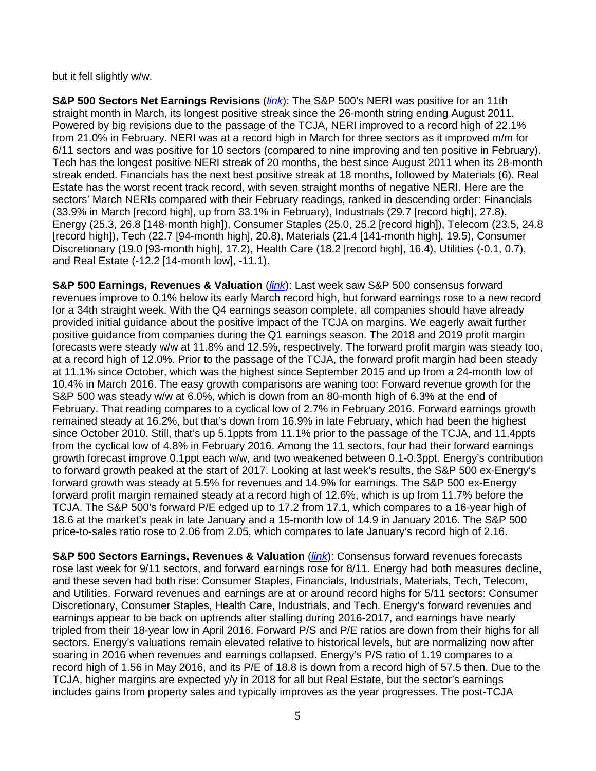but it fell slightly w/w.

**S&P 500 Sectors Net Earnings Revisions** (*[link](http://www.yardeni.com/pub/peacocksp500.pdf)*): The S&P 500's NERI was positive for an 11th straight month in March, its longest positive streak since the 26-month string ending August 2011. Powered by big revisions due to the passage of the TCJA, NERI improved to a record high of 22.1% from 21.0% in February. NERI was at a record high in March for three sectors as it improved m/m for 6/11 sectors and was positive for 10 sectors (compared to nine improving and ten positive in February). Tech has the longest positive NERI streak of 20 months, the best since August 2011 when its 28-month streak ended. Financials has the next best positive streak at 18 months, followed by Materials (6). Real Estate has the worst recent track record, with seven straight months of negative NERI. Here are the sectors' March NERIs compared with their February readings, ranked in descending order: Financials (33.9% in March [record high], up from 33.1% in February), Industrials (29.7 [record high], 27.8), Energy (25.3, 26.8 [148-month high]), Consumer Staples (25.0, 25.2 [record high]), Telecom (23.5, 24.8 [record high]), Tech (22.7 [94-month high], 20.8), Materials (21.4 [141-month high], 19.5), Consumer Discretionary (19.0 [93-month high], 17.2), Health Care (18.2 [record high], 16.4), Utilities (-0.1, 0.7), and Real Estate (-12.2 [14-month low], -11.1).

**S&P 500 Earnings, Revenues & Valuation (***[link](http://www.yardeni.com/pub/peacocksp500.pdf)***):** Last week saw S&P 500 consensus forward revenues improve to 0.1% below its early March record high, but forward earnings rose to a new record for a 34th straight week. With the Q4 earnings season complete, all companies should have already provided initial guidance about the positive impact of the TCJA on margins. We eagerly await further positive guidance from companies during the Q1 earnings season. The 2018 and 2019 profit margin forecasts were steady w/w at 11.8% and 12.5%, respectively. The forward profit margin was steady too, at a record high of 12.0%. Prior to the passage of the TCJA, the forward profit margin had been steady at 11.1% since October, which was the highest since September 2015 and up from a 24-month low of 10.4% in March 2016. The easy growth comparisons are waning too: Forward revenue growth for the S&P 500 was steady w/w at 6.0%, which is down from an 80-month high of 6.3% at the end of February. That reading compares to a cyclical low of 2.7% in February 2016. Forward earnings growth remained steady at 16.2%, but that's down from 16.9% in late February, which had been the highest since October 2010. Still, that's up 5.1ppts from 11.1% prior to the passage of the TCJA, and 11.4ppts from the cyclical low of 4.8% in February 2016. Among the 11 sectors, four had their forward earnings growth forecast improve 0.1ppt each w/w, and two weakened between 0.1-0.3ppt. Energy's contribution to forward growth peaked at the start of 2017. Looking at last week's results, the S&P 500 ex-Energy's forward growth was steady at 5.5% for revenues and 14.9% for earnings. The S&P 500 ex-Energy forward profit margin remained steady at a record high of 12.6%, which is up from 11.7% before the TCJA. The S&P 500's forward P/E edged up to 17.2 from 17.1, which compares to a 16-year high of 18.6 at the market's peak in late January and a 15-month low of 14.9 in January 2016. The S&P 500 price-to-sales ratio rose to 2.06 from 2.05, which compares to late January's record high of 2.16.

**S&P 500 Sectors Earnings, Revenues & Valuation (***[link](http://www.yardeni.com/pub/peacocksp500tables.pdf)***):** Consensus forward revenues forecasts rose last week for 9/11 sectors, and forward earnings rose for 8/11. Energy had both measures decline, and these seven had both rise: Consumer Staples, Financials, Industrials, Materials, Tech, Telecom, and Utilities. Forward revenues and earnings are at or around record highs for 5/11 sectors: Consumer Discretionary, Consumer Staples, Health Care, Industrials, and Tech. Energy's forward revenues and earnings appear to be back on uptrends after stalling during 2016-2017, and earnings have nearly tripled from their 18-year low in April 2016. Forward P/S and P/E ratios are down from their highs for all sectors. Energy's valuations remain elevated relative to historical levels, but are normalizing now after soaring in 2016 when revenues and earnings collapsed. Energy's P/S ratio of 1.19 compares to a record high of 1.56 in May 2016, and its P/E of 18.8 is down from a record high of 57.5 then. Due to the TCJA, higher margins are expected y/y in 2018 for all but Real Estate, but the sector's earnings includes gains from property sales and typically improves as the year progresses. The post-TCJA